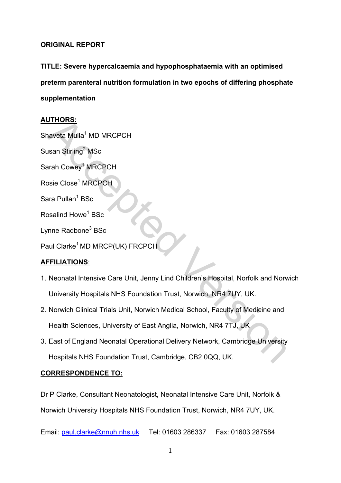# **ORIGINAL REPORT**

**TITLE: Severe hypercalcaemia and hypophosphataemia with an optimised** preterm parenteral nutrition formulation in two epochs of differing phosphate **supplementation(**

# **AUTHORS:**

**UTHORS:**<br>
The Save of Mulla<sup>1</sup> MD MRCPCH<br>
Save Similar The MRCPCH<br>
Save Close<sup>1</sup> MRCPCH<br>
The Radbone<sup>3</sup> BSc<br>
Analysis Close<sup>1</sup> MD MRCP(UK) FRCPCH<br>
The Radbone<sup>3</sup> BSc<br>
Analysis Closet Care Unit, Jenny Lind Children's Hospi Shaveta Mulla<sup>1</sup> MD MRCPCH Susan Stirling<sup>2</sup> MSc Sarah Cowey<sup>1</sup> MRCPCH Rosie Close<sup>1</sup> MRCPCH Sara Pullan<sup>1</sup> BSc Rosalind Howe<sup>1</sup> BSc Lynne Radbone<sup>3</sup> BSc Paul Clarke<sup>1</sup> MD MRCP(UK) FRCPCH

# **AFFILIATIONS**:'

- 1. Neonatal Intensive Care Unit, Jenny Lind Children's Hospital, Norfolk and Norwich University Hospitals NHS Foundation Trust, Norwich, NR4 7UY, UK.
- 2. Norwich Clinical Trials Unit, Norwich Medical School, Faculty of Medicine and Health Sciences, University of East Anglia, Norwich, NR4 7TJ, UK
- 3. East of England Neonatal Operational Delivery Network, Cambridge University Hospitals NHS Foundation Trust, Cambridge, CB2 0QQ, UK.

# **CORRESPONDENCE TO:**

Dr P Clarke, Consultant Neonatologist, Neonatal Intensive Care Unit, Norfolk & Norwich University Hospitals NHS Foundation Trust, Norwich, NR4 7UY, UK.

Email: paul.clarke@nnuh.nhs.uk Tel: 01603 286337 Fax: 01603 287584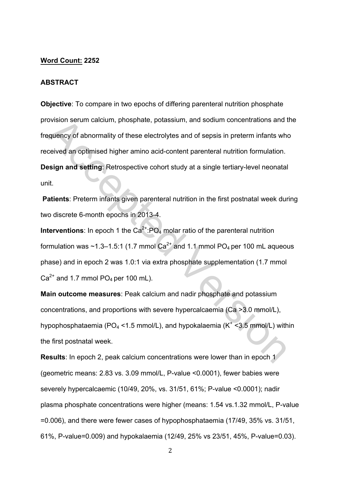#### **Word Count: 2252**

#### **ABSTRACT**

ovision serum calcium, phosphate, potassium, and sodium concentrations and t<br>equency of abnormality of these electrolytes and of sepsis in preterm infants whe<br>ceived an optimised higher amino acid-content parenteral nutrit **Objective:** To compare in two epochs of differing parenteral nutrition phosphate provision serum calcium, phosphate, potassium, and sodium concentrations and the frequency of abnormality of these electrolytes and of sepsis in preterm infants who received an optimised higher amino acid-content parenteral nutrition formulation. **Design and setting:** Retrospective cohort study at a single tertiary-level neonatal unit.

**Patients:** Preterm infants given parenteral nutrition in the first postnatal week during two discrete 6-month epochs in 2013-4.

**Interventions**: In epoch 1 the  $Ca^{2+}$ : $PO_4$  molar ratio of the parenteral nutrition formulation was  $\sim$ 1.3–1.5:1 (1.7 mmol Ca<sup>2+</sup> and 1.1 mmol PO<sub>4</sub> per 100 mL aqueous' phase) and in epoch 2 was 1.0:1 via extra phosphate supplementation (1.7 mmol)  $Ca<sup>2+</sup>$  and 1.7 mmol PO<sub>4</sub> per 100 mL).

**Main outcome measures: Peak calcium and nadir phosphate and potassium** concentrations, and proportions with severe hypercalcaemia (Ca >3.0 mmol/L), hypophosphataemia (PO<sub>4</sub> <1.5 mmol/L), and hypokalaemia (K<sup>+</sup> <3.5 mmol/L) within the first postnatal week.

**Results:** In epoch 2, peak calcium concentrations were lower than in epoch 1 (geometric means: 2.83 vs. 3.09 mmol/L, P-value <0.0001), fewer babies were severely hypercalcaemic (10/49, 20%, vs. 31/51, 61%; P-value <0.0001); nadir plasma phosphate concentrations were higher (means: 1.54 vs.1.32 mmol/L, P-value)  $=0.006$ ), and there were fewer cases of hypophosphataemia (17/49, 35% vs. 31/51, 61%, P-value=0.009) and hypokalaemia (12/49, 25% vs 23/51, 45%, P-value=0.03).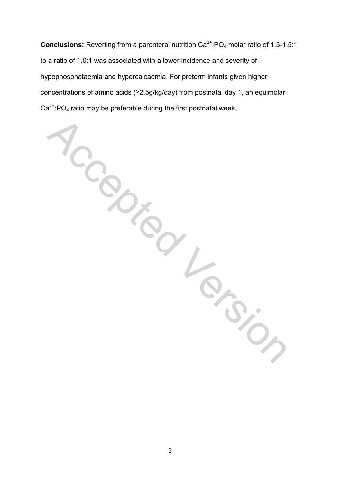**Accepted Version Conclusions:** Reverting from a parenteral nutrition Ca<sup>2+</sup>:PO<sub>4</sub> molar ratio of 1.3-1.5:1 to a ratio of 1.0:1 was associated with a lower incidence and severity of hypophosphataemia and hypercalcaemia. For preterm infants given higher concentrations of amino acids (≥2.5g/kg/day) from postnatal day 1, an equimolar  $Ca<sup>2+</sup>:PO<sub>4</sub>$  ratio may be preferable during the first postnatal week.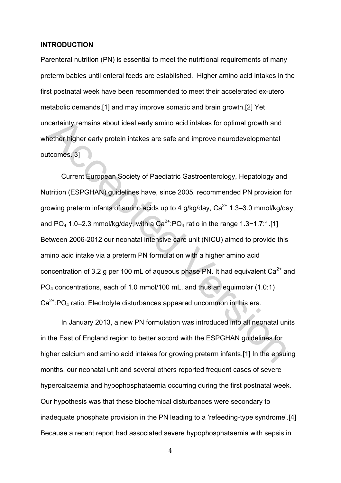#### **INTRODUCTION(**

Parenteral nutrition (PN) is essential to meet the nutritional requirements of many preterm'babies'until'enteral'feeds'are'established.''Higher'amino'acid'intakes'in'the' first postnatal week have been recommended to meet their accelerated ex-utero metabolic demands,[1] and may improve somatic and brain growth.[2] Yet uncertainty remains about ideal early amino acid intakes for optimal growth and whether higher early protein intakes are safe and improve neurodevelopmental outcomes.[3]

ncertainty remains about ideal early amino acid intakes for optimal growth and<br>hether higher early protein intakes are safe and improve neurodevelopmental<br>transmits [3]<br>Current European Society of Paediatric Gastroenterol Current European Society of Paediatric Gastroenterology, Hepatology and Nutrition (ESPGHAN) guidelines have, since 2005, recommended PN provision for growing preterm infants of amino acids up to 4  $q/kg/dav$ ,  $Ca<sup>2+</sup> 1.3–3.0$  mmol/kg/day. and  $PO_4$  1.0–2.3 mmol/kg/day, with a  $Ca^{2+}$ :PO<sub>4</sub> ratio in the range 1.3−1.7:1.[1] Between 2006-2012 our neonatal intensive care unit (NICU) aimed to provide this amino acid intake via a preterm PN formulation with a higher amino acid concentration of 3.2 g per 100 mL of aqueous phase PN. It had equivalent  $Ca^{2+}$  and PO<sub>4</sub> concentrations, each of 1.0 mmol/100 mL, and thus an equimolar (1.0:1)  $Ca<sup>2+</sup>:PO<sub>4</sub>$  ratio. Electrolyte disturbances appeared uncommon in this era.

In January 2013, a new PN formulation was introduced into all neonatal units in the East of England region to better accord with the ESPGHAN guidelines for higher calcium and amino acid intakes for growing preterm infants.[1] In the ensuing months, our neonatal unit and several others reported frequent cases of severe hypercalcaemia and hypophosphataemia occurring during the first postnatal week. Our hypothesis was that these biochemical disturbances were secondary to inadequate phosphate provision in the PN leading to a 'refeeding-type syndrome'.[4] Because a recent report had associated severe hypophosphataemia with sepsis in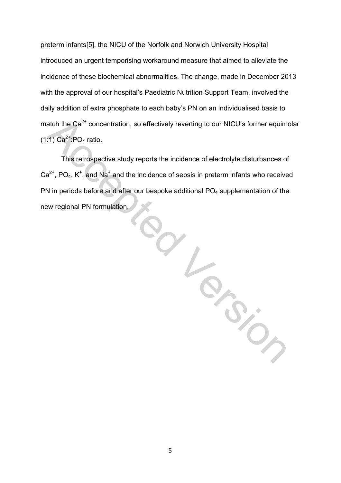preterm infants[5], the NICU of the Norfolk and Norwich University Hospital introduced an urgent temporising workaround measure that aimed to alleviate the incidence of these biochemical abnormalities. The change, made in December 2013 with the approval of our hospital's Paediatric Nutrition Support Team, involved the daily addition of extra phosphate to each baby's PN on an individualised basis to match the  $Ca^{2+}$  concentration, so effectively reverting to our NICU's former equimolar  $(1:1)$  Ca<sup>2+</sup>:PO<sub>4</sub> ratio.

This retrospective study reports the incidence of electrolyte disturbances of  $Ca<sup>2+</sup>$ , PO<sub>4</sub>, K<sup>+</sup>, and Na<sup>+</sup> and the incidence of sepsis in preterm infants who received PN in periods before and after our bespoke additional PO<sub>4</sub> supplementation of the new regional PN formulation.

in a la resion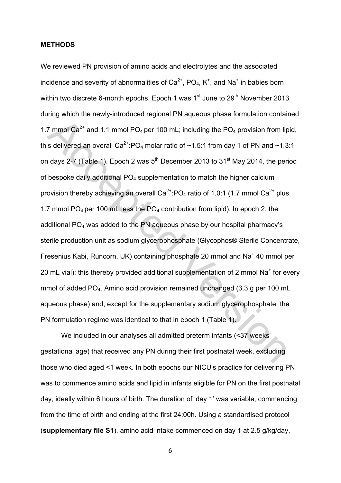### **METHODS(**

The mold case of the supplementation of 2 mmol of added PO<sub>4</sub>. Amino and point with a series and a series of the mold case of the persion from lip is delivered an overall Ca<sup>2+</sup>:PO<sub>4</sub> molar ratio of ~1.5:1 from day 1 of P We reviewed PN provision of amino acids and electrolytes and the associated incidence and severity of abnormalities of Ca<sup>2+</sup>, PO<sub>4</sub>, K<sup>+</sup>, and Na<sup>+</sup> in babies born within two discrete 6-month epochs. Epoch 1 was  $1<sup>st</sup>$  June to  $29<sup>th</sup>$  November 2013 during which the newly-introduced regional PN aqueous phase formulation contained 1.7 mmol  $Ca^{2+}$  and 1.1 mmol PO<sub>4</sub> per 100 mL; including the PO<sub>4</sub> provision from lipid. this delivered an overall  $Ca^{2+}$ :PO<sub>4</sub> molar ratio of ~1.5:1 from day 1 of PN and ~1.3:1 on days 2-7 (Table 1). Epoch 2 was 5<sup>th</sup> December 2013 to 31<sup>st</sup> May 2014, the period of bespoke daily additional  $PO<sub>4</sub>$  supplementation to match the higher calcium provision thereby achieving an overall  $Ca^{2+}$ :PO<sub>4</sub> ratio of 1.0:1 (1.7 mmol  $Ca^{2+}$  plus) 1.7 mmol  $PO_4$  per 100 mL less the  $PO_4$  contribution from lipid). In epoch 2, the additional PO<sub>4</sub> was added to the PN aqueous phase by our hospital pharmacy's sterile production unit as sodium glycerophosphate (Glycophos® Sterile Concentrate, Fresenius Kabi, Runcorn, UK) containing phosphate 20 mmol and Na<sup>+</sup> 40 mmol per 20 mL vial); this thereby provided additional supplementation of 2 mmol  $Na<sup>+</sup>$  for every mmol of added PO<sub>4</sub>. Amino acid provision remained unchanged (3.3 g per 100 mL) aqueous phase) and, except for the supplementary sodium glycerophosphate, the PN formulation regime was identical to that in epoch 1 (Table 1).

We included in our analyses all admitted preterm infants (<37 weeks') gestational age) that received any PN during their first postnatal week, excluding those who died aged <1 week. In both epochs our NICU's practice for delivering PN was to commence amino acids and lipid in infants eligible for PN on the first postnatal day, ideally within 6 hours of birth. The duration of 'day 1' was variable, commencing from the time of birth and ending at the first 24:00h. Using a standardised protocol (**supplementary file S1**), amino acid intake commenced on day 1 at 2.5 g/kg/day,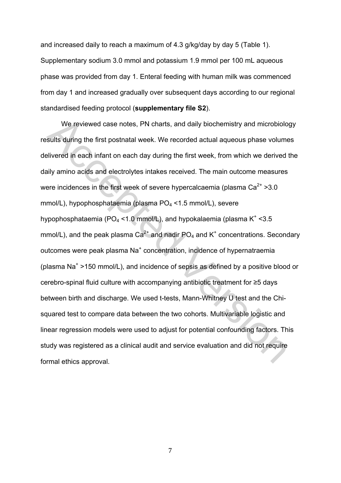and increased daily to reach a maximum of 4.3 g/kg/day by day 5 (Table 1). Supplementary sodium 3.0 mmol and potassium 1.9 mmol per 100 mL aqueous phase was provided from day 1. Enteral feeding with human milk was commenced from day 1 and increased gradually over subsequent days according to our regional standardised feeding protocol (supplementary file S2).

We reviewed case notes, PN charts, and daily biochemistry and microbiolo<br>sults during the first postnatal week. We recorded actual aqueous phase volume<br>ilivered in each infant on each day during the first week, from which We reviewed case notes, PN charts, and daily biochemistry and microbiology results' during the first postnatal week. We recorded actual aqueous phase volumes delivered in each infant on each day during the first week, from which we derived the daily amino acids and electrolytes intakes received. The main outcome measures were incidences in the first week of severe hypercalcaemia (plasma  $Ca^{2+} > 3.0$ ) mmol/L), hypophosphataemia (plasma PO<sub>4</sub> <1.5 mmol/L), severe hypophosphataemia (PO<sub>4</sub> <1.0 mmol/L), and hypokalaemia (plasma K<sup>+</sup> <3.5 mmol/L), and the peak plasma Ca<sup>2+</sup> and nadir PO<sub>4</sub> and K<sup>+</sup> concentrations. Secondary outcomes were peak plasma Na<sup>+</sup> concentration, incidence of hypernatraemia (plasma Na<sup>+</sup> >150 mmol/L), and incidence of sepsis as defined by a positive blood or cerebro-spinal fluid culture with accompanying antibiotic treatment for ≥5 days between birth and discharge. We used t-tests, Mann-Whitney U test and the Chisquared test to compare data between the two cohorts. Multivariable logistic and linear regression models were used to adjust for potential confounding factors. This study was registered as a clinical audit and service evaluation and did not require formal ethics approval.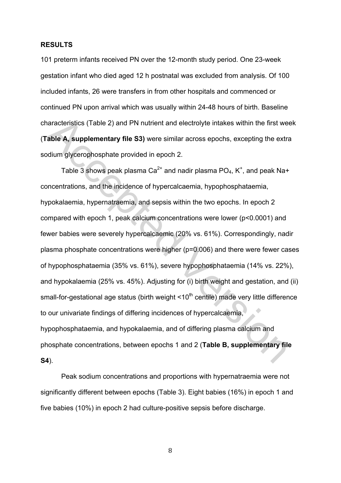### **RESULTS(**

101 preterm infants received PN over the 12-month study period. One 23-week gestation'infant'who'died'aged'12'h'postnatal'was'excluded'from'analysis.'Of'100' included infants, 26 were transfers in from other hospitals and commenced or continued PN upon arrival which was usually within 24-48 hours of birth. Baseline characteristics (Table 2) and PN nutrient and electrolyte intakes within the first week (Table A, supplementary file S3) were similar across epochs, excepting the extra sodium glycerophosphate provided in epoch 2.

aaracteristics (Table 2) and PN nutrient and electrolyte intakes within the first we<br>
able A, supplementary file S3) were similar across epochs, excepting the extraction<br>
alle A, supplementary file S3) were similar across Table 3 shows peak plasma Ca<sup>2+</sup> and nadir plasma  $PO_4$ , K<sup>+</sup>, and peak Na+ concentrations, and the incidence of hypercalcaemia, hypophosphataemia, hypokalaemia, hypernatraemia, and sepsis within the two epochs. In epoch 2 compared with epoch 1, peak calcium concentrations were lower (p<0.0001) and fewer babies were severely hypercalcaemic (20% vs. 61%). Correspondingly, nadir plasma phosphate concentrations were higher (p=0.006) and there were fewer cases of hypophosphataemia (35% vs. 61%), severe hypophosphataemia (14% vs. 22%), and hypokalaemia (25% vs. 45%). Adjusting for (i) birth weight and gestation, and (ii) small-for-gestational age status (birth weight <10<sup>th</sup> centile) made very little difference to our univariate findings of differing incidences of hypercalcaemia, hypophosphataemia, and hypokalaemia, and of differing plasma calcium and phosphate concentrations, between epochs 1 and 2 (Table B, supplementary file) **S4**).

Peak sodium concentrations and proportions with hypernatraemia were not significantly different between epochs (Table 3). Eight babies (16%) in epoch 1 and five babies (10%) in epoch 2 had culture-positive sepsis before discharge.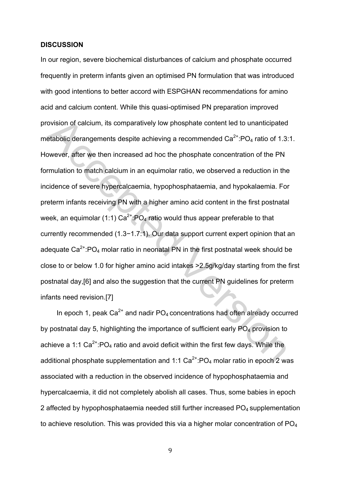#### **DISCUSSION(**

ovision of calcium, its comparatively low phosphate content led to unanticipated<br>etabolic derangements despite achieving a recommended Ca<sup>2+</sup>:PO<sub>4</sub> ratio of 1.3:<br>owever, after we then increased ad hoc the phosphate concent In our region, severe biochemical disturbances of calcium and phosphate occurred frequently in preterm infants given an optimised PN formulation that was introduced with good intentions to better accord with ESPGHAN recommendations for amino acid and calcium content. While this quasi-optimised PN preparation improved provision of calcium, its comparatively low phosphate content led to unanticipated metabolic derangements despite achieving a recommended  $Ca^{2+}$ :PO<sub>4</sub> ratio of 1.3:1. However, after we then increased ad hoc the phosphate concentration of the PN formulation to match calcium in an equimolar ratio, we observed a reduction in the incidence of severe hypercalcaemia, hypophosphataemia, and hypokalaemia. For preterm infants receiving PN with a higher amino acid content in the first postnatal week, an equimolar (1:1)  $Ca^{2+}$ :PO<sub>4</sub> ratio would thus appear preferable to that currently recommended (1.3−1.7:1). Our data support current expert opinion that an adequate  $Ca^{2+}$ :PO<sub>4</sub> molar ratio in neonatal PN in the first postnatal week should be close to or below 1.0 for higher amino acid intakes > 2.5g/kg/day starting from the first postnatal day, [6] and also the suggestion that the current PN guidelines for preterm infants need revision.[7]

In epoch 1, peak  $Ca^{2+}$  and nadir  $PO_4$  concentrations had often already occurred by postnatal day 5, highlighting the importance of sufficient early PO<sub>4</sub> provision to achieve a 1:1  $Ca^{2+}$ :PO<sub>4</sub> ratio and avoid deficit within the first few days. While the additional phosphate supplementation and 1:1  $Ca^{2+}$ :PO<sub>4</sub> molar ratio in epoch 2 was associated with a reduction in the observed incidence of hypophosphataemia and hypercalcaemia, it did not completely abolish all cases. Thus, some babies in epoch 2 affected by hypophosphataemia needed still further increased PO<sub>4</sub> supplementation to achieve resolution. This was provided this via a higher molar concentration of  $PO<sub>4</sub>$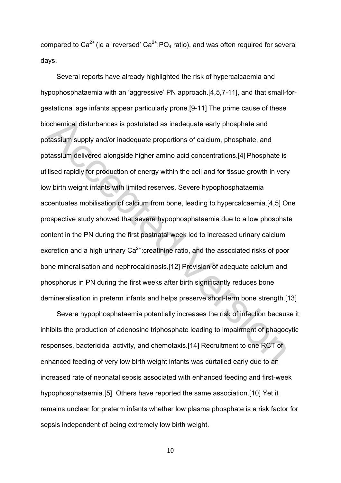compared to  $Ca^{2+}$  (ie a 'reversed'  $Ca^{2+}$ :PO<sub>4</sub> ratio), and was often required for several days.

ochemical disturbances is postulated as inadequate early phosphate and<br>vlassium supply and/or inadequate proportions of calcium, phosphate, and<br>thessium delivered alongside higher amino acid concentrations.[4] Phosphate is Several reports have already highlighted the risk of hypercalcaemia and hypophosphataemia with an 'aggressive' PN approach.[4,5,7-11], and that small-forgestational age infants appear particularly prone.[9-11] The prime cause of these biochemical disturbances is postulated as inadequate early phosphate and potassium'supply and/or inadequate proportions of calcium, phosphate, and potassium delivered alongside higher amino acid concentrations.[4] Phosphate is utilised rapidly for production of energy within the cell and for tissue growth in very low birth weight infants with limited reserves. Severe hypophosphataemia accentuates mobilisation of calcium from bone, leading to hypercalcaemia.[4,5] One prospective study showed that severe hypophosphataemia due to a low phosphate content in the PN during the first postnatal week led to increased urinary calcium excretion and a high urinary  $Ca^{2+}$ :creatinine ratio, and the associated risks of poor bone mineralisation and nephrocalcinosis.[12] Provision of adequate calcium and phosphorus in PN during the first weeks after birth significantly reduces bone demineralisation in preterm infants and helps preserve short-term bone strength.[13]

Severe hypophosphataemia potentially increases the risk of infection because it inhibits the production of adenosine triphosphate leading to impairment of phagocytic responses, bactericidal activity, and chemotaxis.[14] Recruitment to one RCT of enhanced feeding of very low birth weight infants was curtailed early due to an increased rate of neonatal sepsis associated with enhanced feeding and first-week hypophosphataemia.[5] Others have reported the same association.[10] Yet it remains unclear for preterm infants whether low plasma phosphate is a risk factor for sepsis independent of being extremely low birth weight.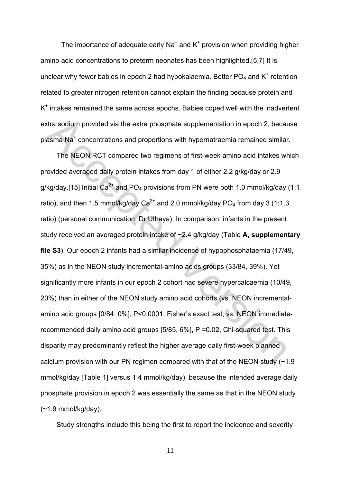The importance of adequate early Na<sup>+</sup> and  $K^+$  provision when providing higher amino acid concentrations to preterm neonates has been highlighted.[5,7] It is unclear why fewer babies in epoch 2 had hypokalaemia. Better  $PO<sub>4</sub>$  and K<sup>+</sup> retention related to greater nitrogen retention cannot explain the finding because protein and K<sup>+</sup> intakes remained the same across epochs. Babies coped well with the inadvertent extra sodium provided via the extra phosphate supplementation in epoch 2, because plasma  $Na<sup>+</sup>$  concentrations and proportions with hypernatraemia remained similar.

dra sodium provided via the extra phosphate supplementation in epoch 2, becaus and Na<sup>+</sup> concentrations and proportions with hypernatraemia remained similar<br>The NEON RCT compared two regimens of first-week amino acid inta The NEON RCT compared two regimens of first-week amino acid intakes which provided averaged daily protein intakes from day 1 of either 2.2 g/kg/day or 2.9 g/kg/day.[15] Initial  $Ca^{2+}$  and PO<sub>4</sub> provisions from PN were both 1.0 mmol/kg/day (1:1) ratio), and then 1.5 mmol/kg/day Ca<sup>2+</sup> and 2.0 mmol/kg/day PO<sub>4</sub> from day 3 (1:1.3) ratio) (personal communication, Dr Uthaya). In comparison, infants in the present study received an averaged protein intake of ~2.4 g/kg/day (Table A, supplementary **file S3**). Our epoch 2 infants had a similar incidence of hypophosphataemia (17/49, 35%) as in the NEON study incremental-amino acids groups (33/84, 39%). Yet significantly more infants in our epoch 2 cohort had severe hypercalcaemia (10/49, 20%) than in either of the NEON study amino acid cohorts (vs. NEON incrementalamino acid groups [0/84, 0%], P<0.0001, Fisher's exact test; vs. NEON immediaterecommended daily amino acid groups [5/85, 6%], P = 0.02, Chi-squared test. This disparity may predominantly reflect the higher average daily first-week planned calcium provision with our PN regimen compared with that of the NEON study  $(-1.9)$ mmol/kg/day [Table 1] versus 1.4 mmol/kg/day), because the intended average daily phosphate provision in epoch 2 was essentially the same as that in the NEON study  $(-1.9 \text{ mmol/kg/day}).$ 

Study strengths include this being the first to report the incidence and severity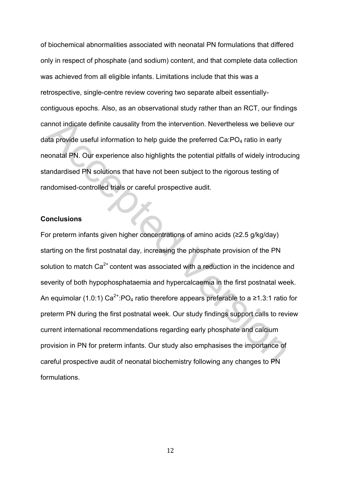of biochemical abnormalities' associated with neonatal PN formulations that differed only in respect of phosphate (and sodium) content, and that complete data collection was achieved from all eligible infants. Limitations include that this was a retrospective, single-centre review covering two separate albeit essentiallycontiguous' epochs. Also, as an observational study rather than an RCT, our findings' cannot indicate definite causality from the intervention. Nevertheless we believe our data provide useful information to help quide the preferred Ca:PO<sub>4</sub> ratio in early neonatal PN. Our experience also highlights the potential pitfalls of widely introducing standardised PN solutions that have not been subject to the rigorous testing of randomised-controlled trials or careful prospective audit.

### **Conclusions(**

annot indicate definite causality from the intervention. Nevertheless we believe o<br>
ata provide useful information to help guide the preferred Ca:PO<sub>4</sub> ratio in early<br>
sonatal PN. Our experience also highlights the potent For preterm infants given higher concentrations of amino acids (≥2.5 g/kg/day) starting on the first postnatal day, increasing the phosphate provision of the PN solution to match  $Ca^{2+}$  content was associated with a reduction in the incidence and severity of both hypophosphataemia and hypercalcaemia in the first postnatal week. An equimolar (1.0:1)  $Ca^{2+}$ :PO<sub>4</sub> ratio therefore appears preferable to a ≥1.3:1 ratio for preterm PN during the first postnatal week. Our study findings support calls to review current international recommendations regarding early phosphate and calcium provision in PN for preterm infants. Our study also emphasises the importance of careful prospective audit of neonatal biochemistry following any changes to PN formulations.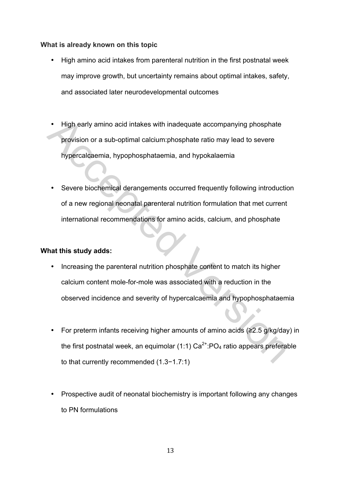## **What is already known on this topic**

- High amino acid intakes from parenteral nutrition in the first postnatal week may improve growth, but uncertainty remains about optimal intakes, safety, and associated later neurodevelopmental outcomes
- High early amino acid intakes with inadequate accompanying phosphate provision or a sub-optimal calcium:phosphate ratio may lead to severe hypercalcaemia, hypophosphataemia, and hypokalaemia
- Severe biochemical derangements occurred frequently following introduction of a new regional neonatal parenteral nutrition formulation that met current international recommendations for amino acids, calcium, and phosphate

# **What this study adds:**

- + High early amino acid intakes with inadequate accompanying phosphate<br>provision or a sub-optimal calcium:phosphate ratio may lead to severe<br>hypercalcaemia, hypophosphateemia, and hypokalaemia<br> $\bullet$ <br>Severe biochemical de Increasing the parenteral nutrition phosphate content to match its higher calcium content mole-for-mole was associated with a reduction in the observed incidence and severity of hypercalcaemia and hypophosphataemia
	- For preterm infants receiving higher amounts of amino acids (≥2.5 g/kg/day) in the first postnatal week, an equimolar (1:1)  $Ca^{2+}$ :PO<sub>4</sub> ratio appears preferable to that currently recommended (1.3−1.7:1)
	- Prospective audit of neonatal biochemistry is important following any changes to PN formulations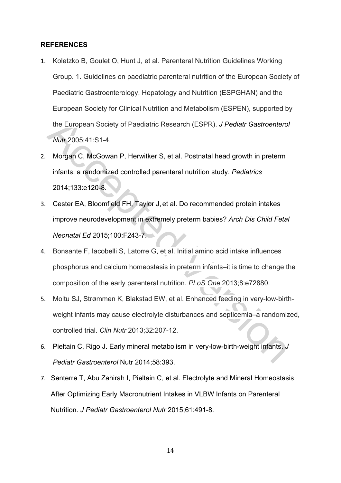### **REFERENCES(**

- 1. Koletzko B, Goulet O, Hunt J, et al. Parenteral Nutrition Guidelines Working Group. 1. Guidelines on paediatric parenteral nutrition of the European Society of Paediatric Gastroenterology, Hepatology and Nutrition (ESPGHAN) and the European Society for Clinical Nutrition and Metabolism (ESPEN), supported by the European Society of Paediatric Research (ESPR). *J Pediatr Gastroenterol Nutr* 2005;41:S1-4.
- 2. Morgan C, McGowan P, Herwitker S, et al. Postnatal head growth in preterm infants: a randomized controlled parenteral nutrition study. Pediatrics 2014;133:e120-8.
- the European Society of Paediatric Research (ESPR). *J Pediatr Gastroentero*<br> *Nutr* 2005;41:S1-4.<br>
Morgan C, McGowan P, Herwitker S, et al. Postnatal head growth in preterm<br>
infants: a randomized controlled parenteral nut 3. Cester EA, Bloomfield FH, Taylor J, et al. Do recommended protein intakes improve neurodevelopment in extremely preterm babies? Arch Dis Child Fetal *Neonatal Ed 2015;100:F243-7.*
- 4. Bonsante F, Iacobelli S, Latorre G, et al. Initial amino acid intake influences phosphorus and calcium homeostasis in preterm infants–it is time to change the composition of the early parenteral nutrition. *PLoS One* 2013;8:e72880.
- 5. Moltu SJ, Strømmen K, Blakstad EW, et al. Enhanced feeding in very-low-birthweight infants may cause electrolyte disturbances and septicemia–a randomized, controlled'trial.'*Clin"Nutr* 2013i32:207`12.
- 6. Pieltain C, Rigo J. Early mineral metabolism in very-low-birth-weight infants. J *Pediatr Gastroenterol Nutr 2014;58:393.*
- 7. Senterre T, Abu Zahirah I, Pieltain C, et al. Electrolyte and Mineral Homeostasis After Optimizing Early Macronutrient Intakes in VLBW Infants on Parenteral Nutrition. *J Pediatr Gastroenterol Nutr* 2015;61:491-8.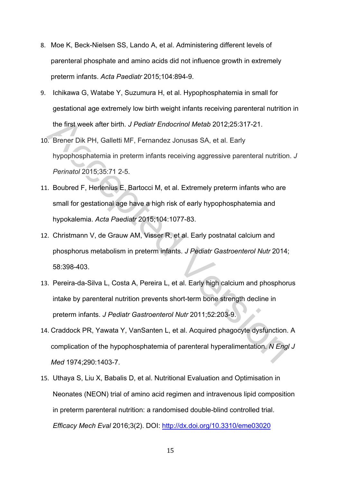- 8. Moe K, Beck-Nielsen SS, Lando A, et al. Administering different levels of parenteral phosphate and amino acids did not influence growth in extremely preterm infants. Acta Paediatr 2015;104:894-9.
- 9. Ichikawa G, Watabe Y, Suzumura H, et al. Hypophosphatemia in small for gestational age extremely low birth weight infants receiving parenteral nutrition in the first week after birth. *J Pediatr Endocrinol Metab* 2012;25:317-21.
- the first week after birth. *J Pediatr Endocrinol Metab* 2012;25:317-21.<br>
D. Brener Dik PH, Galletti MF, Fernandez Jonusas SA, et al. Early<br>
hypophosphatemia in preterm infants receiving aggressive parenteral nutritior<br> *P* 10. Brener Dik PH, Galletti MF, Fernandez Jonusas SA, et al. Early hypophosphatemia in preterm infants receiving aggressive parenteral nutrition. *J Perinatol* 2015;35:71 2-5.
- 11. Boubred F, Herlenius E, Bartocci M, et al. Extremely preterm infants who are small for gestational age have a high risk of early hypophosphatemia and hypokalemia. Acta Paediatr 2015;104:1077-83.
- 12. Christmann V, de Grauw AM, Visser R, et al. Early postnatal calcium and phosphorus metabolism in preterm infants. *J Pediatr Gastroenterol Nutr* 2014; 58:398-403.
- 13. Pereira-da-Silva L, Costa A, Pereira L, et al. Early high calcium and phosphorus intake by parenteral nutrition prevents short-term bone strength decline in preterm infants. *J Pediatr Gastroenterol Nutr* 2011;52:203-9.
- 14. Craddock PR, Yawata Y, VanSanten L, et al. Acquired phagocyte dysfunction. A complication of the hypophosphatemia of parenteral hyperalimentation. N Engl J *Med* 1974;290:1403-7.
- 15. Uthaya S, Liu X, Babalis D, et al. Nutritional Evaluation and Optimisation in Neonates (NEON) trial of amino acid regimen and intravenous lipid composition in preterm parenteral nutrition: a randomised double-blind controlled trial. *Efficacy Mech Eval* 2016;3(2). DOI: http://dx.doi.org/10.3310/eme03020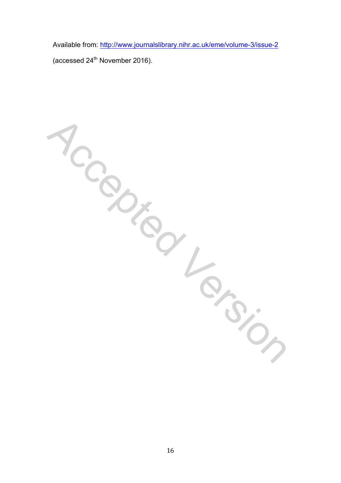Available from: http://www.journalslibrary.nihr.ac.uk/eme/volume-3/issue-2

(accessed  $24^{th}$  November 2016).

Iccepted Version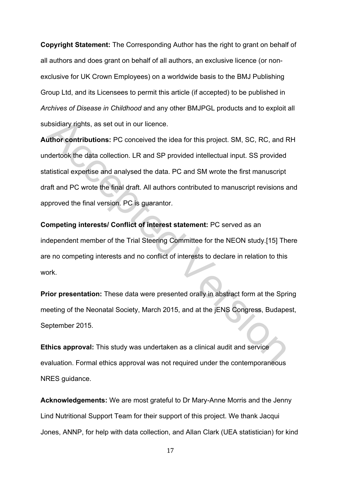**Copyright Statement:** The Corresponding Author has the right to grant on behalf of all authors and does grant on behalf of all authors, an exclusive licence (or nonexclusive for UK Crown Employees) on a worldwide basis to the BMJ Publishing Group Ltd, and its Licensees to permit this article (if accepted) to be published in *Archives of Disease in Childhood* and any other BMJPGL products and to exploit all subsidiary rights, as set out in our licence.

ibsidiary rights, as set out in our licence.<br>
uthor contributions: PC conceived the idea for this project. SM, SC, RC, and F<br>
dertook the data collection. LR and SP provided intellectual input. SS provided<br>
datstical exper **Author contributions:** PC conceived the idea for this project. SM, SC, RC, and RH undertook the data collection. LR and SP provided intellectual input. SS provided statistical expertise and analysed the data. PC and SM wrote the first manuscript draft and PC wrote the final draft. All authors contributed to manuscript revisions and approved the final version. PC is guarantor.

**Competing interests/ Conflict of interest statement: PC served as an** independent member of the Trial Steering Committee for the NEON study.[15] There are no competing interests and no conflict of interests to declare in relation to this work.

**Prior presentation:** These data were presented orally in abstract form at the Spring meeting of the Neonatal Society, March 2015, and at the jENS Congress, Budapest, September 2015.

**Ethics approval:** This study was undertaken as a clinical audit and service evaluation. Formal ethics approval was not required under the contemporaneous NRES guidance.

**Acknowledgements:** We are most grateful to Dr Mary-Anne Morris and the Jenny Lind Nutritional Support Team for their support of this project. We thank Jacqui Jones, ANNP, for help with data collection, and Allan Clark (UEA statistician) for kind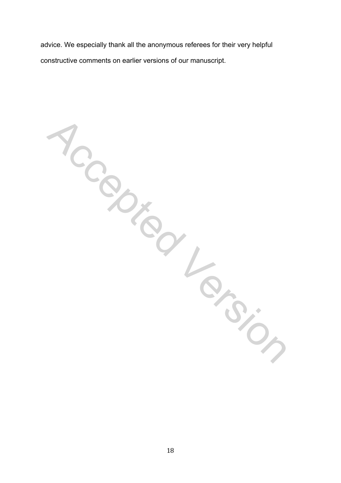advice. We especially thank all the anonymous referees for their very helpful constructive comments on earlier versions of our manuscript.

1ccepted Version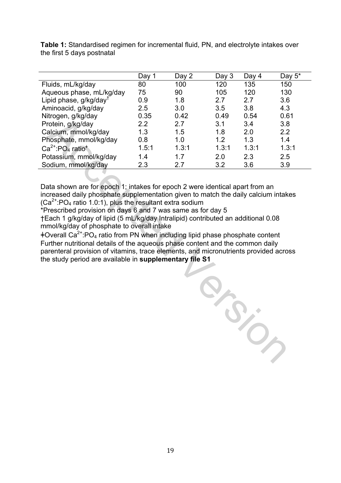|                                               | Day 1 | Day 2 | Day $3$ | Day 4 | Day $5^*$ |
|-----------------------------------------------|-------|-------|---------|-------|-----------|
| Fluids, mL/kg/day                             | 80    | 100   | 120     | 135   | 150       |
| Aqueous phase, mL/kg/day                      | 75    | 90    | 105     | 120   | 130       |
| Lipid phase, g/kg/day <sup>T</sup>            | 0.9   | 1.8   | 2.7     | 2.7   | 3.6       |
| Aminoacid, g/kg/day                           | 2.5   | 3.0   | 3.5     | 3.8   | 4.3       |
| Nitrogen, g/kg/day                            | 0.35  | 0.42  | 0.49    | 0.54  | 0.61      |
| Protein, g/kg/day                             | 2.2   | 2.7   | 3.1     | 3.4   | 3.8       |
| Calcium, mmol/kg/day                          | 1.3   | 1.5   | 1.8     | 2.0   | 2.2       |
| Phosphate, mmol/kg/day                        | 0.8   | 1.0   | 1.2     | 1.3   | 1.4       |
| $Ca^{2+}$ :PO <sub>4</sub> ratio <sup>*</sup> | 1.5:1 | 1.3:1 | 1.3:1   | 1.3:1 | 1.3:1     |
| Potassium, mmol/kg/day                        | 1.4   | 1.7   | 2.0     | 2.3   | 2.5       |
| Sodium, mmol/kg/day                           | 2.3   | 2.7   | 3.2     | 3.6   | 3.9       |

**Table 1:** Standardised regimen for incremental fluid, PN, and electrolyte intakes over the first 5 days postnatal

Data shown are for epoch 1; intakes for epoch 2 were identical apart from an increased daily phosphate supplementation given to match the daily calcium intakes  $(Ca^{2+}$ :PO<sub>4</sub> ratio 1.0:1), plus the resultant extra sodium

\*Prescribed provision on days 6 and 7 was same as for day 5 †Each'1'g/kg/day'of'lipid'(5'mL/kg/day'Intralipid)'contributed'an'additional'0.08' mmol/kg/day of phosphate to overall intake

ǂOverall'Ca2+:PO4'ratio'from'PN'when'including'lipid'phase'phosphate'content''' Further nutritional details of the aqueous phase content and the common daily parenteral provision of vitamins, trace elements, and micronutrients provided across the study period are available in supplementary file S1

River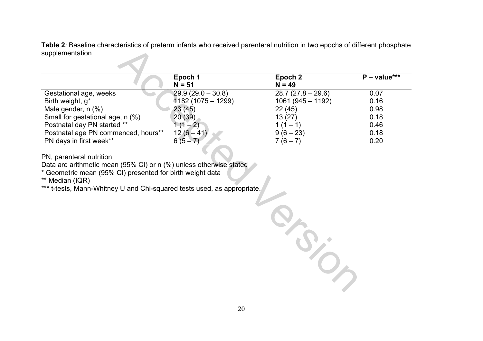Table 2*:* Baseline characteristics of preterm infants who received parenteral nutrition in two epochs of different phosphate supplementation

| Epoch 1             | Epoch 2             | $P - value***$ |
|---------------------|---------------------|----------------|
| $N = 51$            | $N = 49$            |                |
| $29.9(29.0 - 30.8)$ | $28.7(27.8 - 29.6)$ | 0.07           |
| $1182(1075-1299)$   | $1061(945 - 1192)$  | 0.16           |
| 23(45)              | 22(45)              | 0.98           |
| 20(39)              | 13(27)              | 0.18           |
| $(1 - 2)$           | $1(1 - 1)$          | 0.46           |
| $12(6 - 41)$        | $9(6-23)$           | 0.18           |
| $6(5-7)$            | $7(6-7)$            | 0.20           |
|                     |                     |                |

PN, parenteral nutrition

Data are arithmetic mean (95% CI) or n (%) unless otherwise stated

\* Geometric mean (95% CI) presented for birth weight data

\*\* Median (IQR)

\*\*\* t-tests, Mann-Whitney U and Chi-squared tests used, as appropriate.

Accepted Version